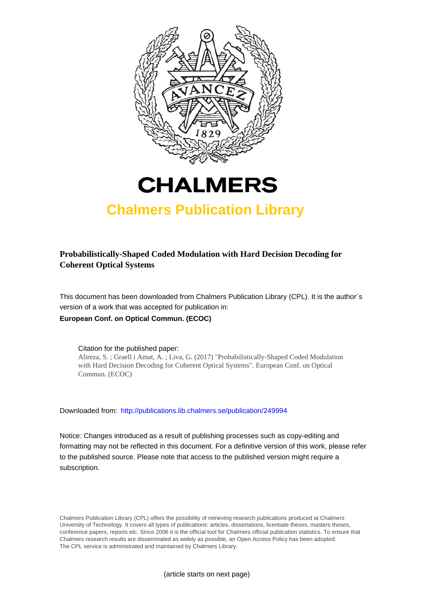



# **Chalmers Publication Library**

## **Probabilistically-Shaped Coded Modulation with Hard Decision Decoding for Coherent Optical Systems**

This document has been downloaded from Chalmers Publication Library (CPL). It is the author´s version of a work that was accepted for publication in: **European Conf. on Optical Commun. (ECOC)**

Citation for the published paper: Alireza, S. ; Graell i Amat, A. ; Liva, G. (2017) "Probabilistically-Shaped Coded Modulation with Hard Decision Decoding for Coherent Optical Systems". European Conf. on Optical Commun. (ECOC)

Downloaded from: <http://publications.lib.chalmers.se/publication/249994>

Notice: Changes introduced as a result of publishing processes such as copy-editing and formatting may not be reflected in this document. For a definitive version of this work, please refer to the published source. Please note that access to the published version might require a subscription.

Chalmers Publication Library (CPL) offers the possibility of retrieving research publications produced at Chalmers University of Technology. It covers all types of publications: articles, dissertations, licentiate theses, masters theses, conference papers, reports etc. Since 2006 it is the official tool for Chalmers official publication statistics. To ensure that Chalmers research results are disseminated as widely as possible, an Open Access Policy has been adopted. The CPL service is administrated and maintained by Chalmers Library.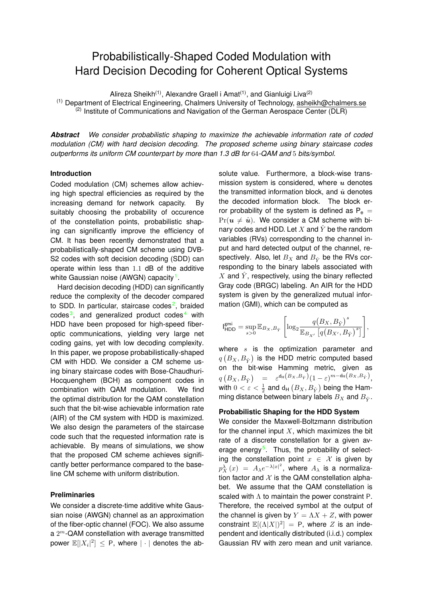## Probabilistically-Shaped Coded Modulation with Hard Decision Decoding for Coherent Optical Systems

Alireza Sheikh<sup>(1)</sup>, Alexandre Graell i Amat<sup>(1)</sup>, and Gianluigi Liva<sup>(2)</sup>

(1) Department of Electrical Engineering, Chalmers University of Technology, asheikh@chalmers.se (2) Institute of Communications and Navigation of the German Aerospace Center (DLR)

*Abstract We consider probabilistic shaping to maximize the achievable information rate of coded modulation (CM) with hard decision decoding. The proposed scheme using binary staircase codes outperforms its uniform CM counterpart by more than 1.3 dB for* 64*-QAM and* 5 *bits/symbol.*

#### **Introduction**

Coded modulation (CM) schemes allow achieving high spectral efficiencies as required by the increasing demand for network capacity. By suitably choosing the probability of occurence of the constellation points, probabilistic shaping can significantly improve the efficiency of CM. It has been recently demonstrated that a probabilistically-shaped CM scheme using DVB-S2 codes with soft decision decoding (SDD) can operate within less than 1.1 dB of the additive white Gaussian noise (AWGN) capacity<sup>[1](#page-3-0)</sup>.

Hard decision decoding (HDD) can significantly reduce the complexity of the decoder compared to SDD. In particular, staircase codes<sup>[2](#page-3-1)</sup>, braided codes<sup>[3](#page-3-2)</sup>, and generalized product codes<sup>[4](#page-3-3)</sup> with HDD have been proposed for high-speed fiberoptic communications, yielding very large net coding gains, yet with low decoding complexity. In this paper, we propose probabilistically-shaped CM with HDD. We consider a CM scheme using binary staircase codes with Bose-Chaudhuri-Hocquenghem (BCH) as component codes in combination with QAM modulation. We find the optimal distribution for the QAM constellation such that the bit-wise achievable information rate (AIR) of the CM system with HDD is maximized. We also design the parameters of the staircase code such that the requested information rate is achievable. By means of simulations, we show that the proposed CM scheme achieves significantly better performance compared to the baseline CM scheme with uniform distribution.

### **Preliminaries**

We consider a discrete-time additive white Gaussian noise (AWGN) channel as an approximation of the fiber-optic channel (FOC). We also assume a  $2^m$ -QAM constellation with average transmitted power  $\mathbb{E}[|X_i|^2] \leq P$ , where  $|\cdot|$  denotes the absolute value. Furthermore, a block-wise transmission system is considered, where  $u$  denotes the transmitted information block, and  $\hat{u}$  denotes the decoded information block. The block error probability of the system is defined as  $P_e$  =  $Pr(u \neq \hat{u})$ . We consider a CM scheme with binary codes and HDD. Let X and  $\hat{Y}$  be the random variables (RVs) corresponding to the channel input and hard detected output of the channel, respectively. Also, let  $B_X$  and  $B_{\hat{Y}}$  be the RVs corresponding to the binary labels associated with X and  $\hat{Y}$ , respectively, using the binary reflected Gray code (BRGC) labeling. An AIR for the HDD system is given by the generalized mutual information (GMI), which can be computed as

$$
\mathbf{I_{HDD}^{gmi}} = \sup_{s>0} \mathbb{E}_{B_X,B_{\hat{Y}}}\left[\log_2 \frac{q\!\left(B_X,B_{\hat{Y}}\right)^s}{\mathbb{E}_{B_{X'}}\left[q\!\left(B_{X'},B_{\hat{Y}}\right)^s\right]}\right]\!,
$$

where  $s$  is the optimization parameter and  $q\left( B_{X},B_{\hat{Y}}\right)$  is the HDD metric computed based on the bit-wise Hamming metric, given as  $q\left(B_X,B_{\hat{Y}}\right)$  =  $\varepsilon^{d_{\mathsf{H}}\left(B_X,B_{\hat{Y}}\right)}(1-\varepsilon)^{m-d_{\mathsf{H}}\left(B_X,B_{\hat{Y}}\right)},$ with  $0 < \varepsilon < \frac{1}{2}$  and  $\mathsf{d}_\mathsf{H}\left( B_X, B_{\hat{Y}} \right)$  being the Hamming distance between binary labels  $B_X$  and  $B_{\hat{Y}}$ .

#### **Probabilistic Shaping for the HDD System**

We consider the Maxwell-Boltzmann distribution for the channel input  $X$ , which maximizes the bit rate of a discrete constellation for a given av-erage energy<sup>[5](#page-3-4)</sup>. Thus, the probability of selecting the constellation point  $x \in \mathcal{X}$  is given by  $p_X^{\lambda}(x) = A_{\lambda}e^{-\lambda|x|^2}$ , where  $A_{\lambda}$  is a normalization factor and  $X$  is the QAM constellation alphabet. We assume that the QAM constellation is scaled with Λ to maintain the power constraint P. Therefore, the received symbol at the output of the channel is given by  $Y = \Lambda X + Z$ , with power constraint  $\mathbb{E}[(\Lambda|X|)^2] = P$ , where Z is an independent and identically distributed (i.i.d.) complex Gaussian RV with zero mean and unit variance.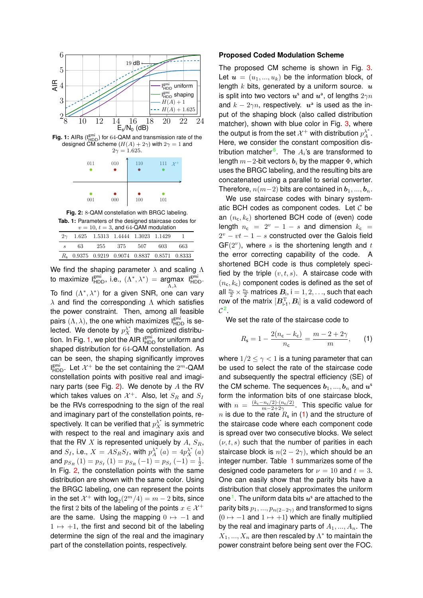<span id="page-2-0"></span>

<span id="page-2-1"></span>

| 011 | 010 | 110 | 111 $\mathcal{X}^+$ |
|-----|-----|-----|---------------------|
| 001 | 000 | 100 | 101                 |

<span id="page-2-3"></span>**Fig. 2:** 8-QAM constellation with BRGC labeling. **Tab. 1:** Parameters of the designed staircase codes for

| $v = 10$ , $t = 3$ , and 64-QAM modulation |     |                                             |                 |  |                                                          |     |  |  |  |  |
|--------------------------------------------|-----|---------------------------------------------|-----------------|--|----------------------------------------------------------|-----|--|--|--|--|
|                                            |     | $2\gamma$ 1.625 1.5313 1.4444 1.3023 1.1429 |                 |  |                                                          |     |  |  |  |  |
| $\mathcal{S}$                              | 63. |                                             | 255 375 507 603 |  |                                                          | 663 |  |  |  |  |
|                                            |     |                                             |                 |  | R <sub>5</sub> 0.9375 0.9219 0.9074 0.8837 0.8571 0.8333 |     |  |  |  |  |

We find the shaping parameter  $\lambda$  and scaling  $\Lambda$ to maximize  $I_{\text{HDD}}^{\text{gmi}},$  i.e.,  $(\Lambda^*, \lambda^*) = \underset{\Lambda, \lambda}{\text{argmax}}$ I gmi HDD. To find  $(\Lambda^*, \lambda^*)$  for a given SNR, one can vary  $\lambda$  and find the corresponding  $\Lambda$  which satisfies the power constraint. Then, among all feasible pairs  $(\Lambda, \lambda)$ , the one which maximizes  $I_{\text{HDD}}^{\text{gmi}}$  is selected. We denote by  $p_X^{\lambda^*}$  the optimized distribu-tion. In Fig. [1,](#page-2-0) we plot the AIR  $I_{\text{HDD}}^{\text{gmi}}$  for uniform and shaped distribution for 64-QAM constellation. As can be seen, the shaping significantly improves  $I_{\text{HDD}}^{\text{gmi}}$ . Let  $\mathcal{X}^+$  be the set containing the  $2^m$ -QAM constellation points with positive real and imagi-nary parts (see Fig. [2\)](#page-2-1). We denote by  $A$  the RV which takes values on  $\mathcal{X}^+$ . Also, let  $S_R$  and  $S_I$ be the RVs correspodning to the sign of the real and imaginary part of the constellation points, respectively. It can be verified that  $p_X^{\lambda^*}$  is symmetric with respect to the real and imaginary axis and that the RV  $X$  is represented uniquely by  $A$ ,  $S_R$ , and  $S_I$ , i.e.,  $X = AS_R S_I$ , with  $p_A^{\lambda^*}(a) = 4 p_X^{\lambda^*}(a)$ and  $p_{S_R}(1) = p_{S_I}(1) = p_{S_R}(-1) = p_{S_I}(-1) = \frac{1}{2}$ . In Fig. [2,](#page-2-1) the constellation points with the same distribution are shown with the same color. Using the BRGC labeling, one can represent the points in the set  $\mathcal{X}^+$  with  $\mathsf{log}_2(2^m/4) = m-2$  bits, since the first 2 bits of the labeling of the points  $x \in \mathcal{X}^+$ are the same. Using the mapping  $0 \mapsto -1$  and  $1 \mapsto +1$ , the first and second bit of the labeling determine the sign of the real and the imaginary part of the constellation points, respectively.

#### **Proposed Coded Modulation Scheme**

The proposed CM scheme is shown in Fig. [3.](#page-3-5) Let  $u = (u_1, ..., u_k)$  be the information block, of length  $k$  bits, generated by a uniform source.  $u$ is split into two vectors  $u^s$  and  $u^a$ , of lengths  $2\gamma n$ and  $k - 2\gamma n$ , respectively.  $u^a$  is used as the input of the shaping block (also called distribution matcher), shown with blue color in Fig. [3,](#page-3-5) where the output is from the set  $\mathcal{X}^+$  with distribution  $p_A^{\lambda^*}.$ Here, we consider the constant composition dis-tribution matcher<sup>[6](#page-3-6)</sup>. The  $A_i$ 's are transformed to length  $m-2$ -bit vectors  $b_i$  by the mapper  $\Phi$ , which uses the BRGC labeling, and the resulting bits are concatenated using a parallel to serial converter. Therefore,  $n(m-2)$  bits are contained in  $b_1, ..., b_n$ .

We use staircase codes with binary systematic BCH codes as component codes. Let  $C$  be an  $(n_c, k_c)$  shortened BCH code of (even) code length  $n_c = 2^v - 1 - s$  and dimension  $k_c =$  $2^v - vt - 1 - s$  constructed over the Galois field  $GF(2<sup>v</sup>)$ , where s is the shortening length and t the error correcting capability of the code. A shortened BCH code is thus completely specified by the triple  $(v, t, s)$ . A staircase code with  $(n_c, k_c)$  component codes is defined as the set of all  $\frac{n_c}{2} \times \frac{n_c}{2}$  matrices  $B_i$ , i = 1, 2, ..., such that each row of the matrix  $[B_{i-1}^T, B_i]$  is a valid codeword of  $\mathcal{C}^2$  $\mathcal{C}^2$ .

We set the rate of the staircase code to

<span id="page-2-2"></span>
$$
R_{\rm s}=1-\frac{2(n_{\rm c}-k_{\rm c})}{n_{\rm c}}=\frac{m-2+2\gamma}{m},\qquad (1)
$$

where  $1/2 \leq \gamma < 1$  is a tuning parameter that can be used to select the rate of the staircase code and subsequently the spectral efficiency (SE) of the CM scheme. The sequences  $\boldsymbol{b}_1,...,\boldsymbol{b}_n$  and  $\boldsymbol{u}^\mathrm{s}$ form the information bits of one staircase block, with  $n = \frac{(k_c - n_c/2) \cdot (n_c/2)}{m - 2 + 2\gamma}$ . This specific value for  $n$  is due to the rate  $R_{\sf s}$  in [\(1\)](#page-2-2) and the structure of the staircase code where each component code is spread over two consecutive blocks. We select  $(\nu, t, s)$  such that the number of parities in each staircase block is  $n(2-2\gamma)$ , which should be an integer number. Table [1](#page-2-3) summarizes some of the designed code parameters for  $\nu = 10$  and  $t = 3$ . One can easily show that the parity bits have a distribution that closely approximates the uniform one<sup>[1](#page-3-0)</sup>. The uniform data bits  $u^s$  are attached to the parity bits  $p_1, ..., p_{n(2-2\gamma)}$  and transformed to signs  $(0 \mapsto -1$  and  $1 \mapsto +1$ ) which are finally multiplied by the real and imaginary parts of  $A_1, ..., A_n$ . The  $X_1, ..., X_n$  are then rescaled by  $\Lambda^*$  to maintain the power constraint before being sent over the FOC.